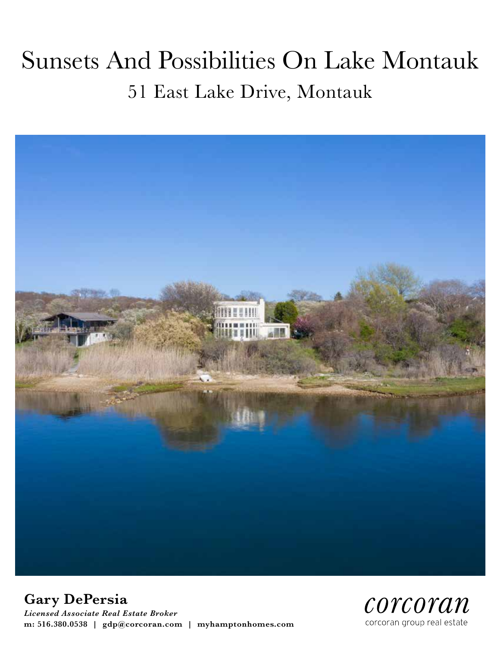# Sunsets And Possibilities On Lake Montauk 51 East Lake Drive, Montauk



**Gary DePersia**

*Licensed Associate Real Estate Broker* **m: 516.380.0538 | gdp@corcoran.com | myhamptonhomes.com**

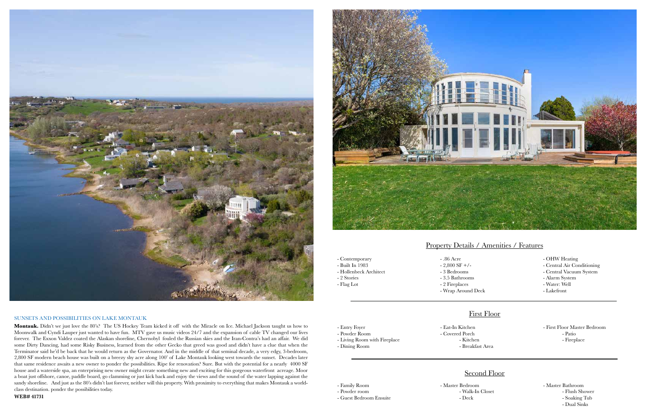

#### SUNSETS AND POSSIBILITIES ON LAKE MONTAUK

**Montauk.** Didn't we just love the 80's? The US Hockey Team kicked it off with the Miracle on Ice. Michael Jackson taught us how to Moonwalk and Cyndi Lauper just wanted to have fun. MTV gave us music videos 24/7 and the expansion of cable TV changed our lives forever. The Exxon Valdez coated the Alaskan shoreline, Chernobyl fouled the Russian skies and the Iran-Contra's had an affair. We did some Dirty Dancing, had some Risky Business, learned from the other Gecko that greed was good and didn't have a clue that when the Terminator said he'd be back that he would return as the Governator. And in the middle of that seminal decade, a very edgy, 3-bedroom, 2,800 SF modern beach house was built on a breezy shy acre along 100' of Lake Montauk looking west towards the sunset. Decades later that same residence awaits a new owner to ponder the possibilities. Ripe for renovation? Sure. But with the potential for a nearly 4000 SF house and a waterside spa, an enterprising new owner might create something new and exciting for this gorgeous waterfront acreage. Moor a boat just offshore, canoe, paddle board, go clamming or just kick back and enjoy the views and the sound of the water lapping against the sandy shoreline. And just as the 80's didn't last forever, neither will this property. With proximity to everything that makes Montauk a worldclass destination. ponder the possibilities today.



**WEB# 41731**

#### Property Details / Amenities / Features

#### First Floor

### Second Floor

- Contemporary - Built In 1983

- Hollenbeck Architect

- 2 Stories - Flag Lot

- .86 Acre  $-2.800$  SF  $+/-$ 
	- 3 Bedrooms
	- 3.5 Bathrooms
	- 2 Fireplaces
	- Wrap Around Deck

- Entry Foyer - Powder Room

- OHW Heating
- Central Air Conditioning
- Central Vacuum System
- Alarm System
- Water: Well
- Lakefront
- First Floor Master Bedroom - Patio - Fireplace

- Living Room with Fireplace

- Dining Room

- Eat-In Kitchen
	-
	- Covered Porch - Kitchen - Breakfast Area
- -

- Family Room - Powder room - Master Bedroom
	- Deck
- Guest Bedroom Ensuite

- Walk-In Closet

- Master Bathroom - Flush Shower - Soaking Tub - Dual Sinks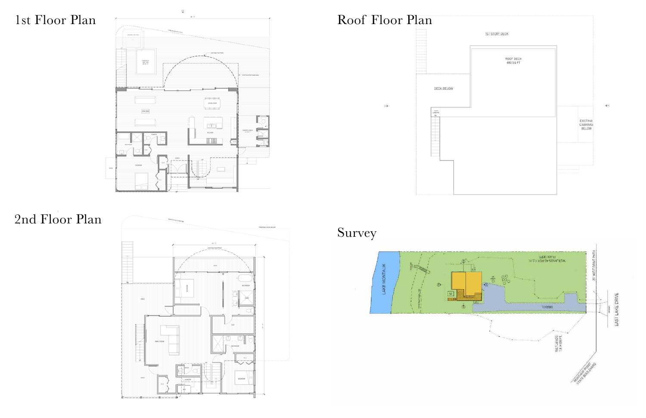## 1st Floor Plan









Survey

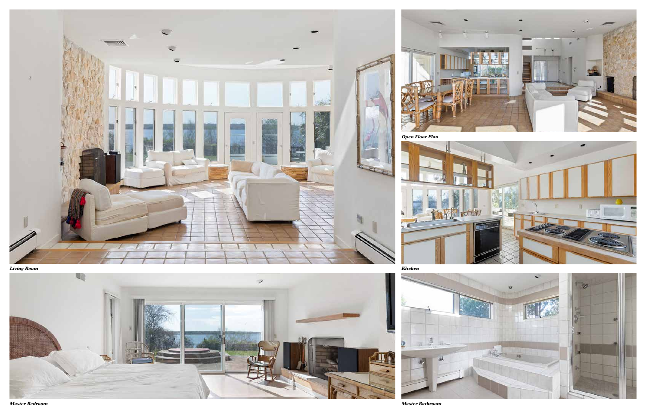

**Living Room**



**Master Bedroom Master Bathroom**